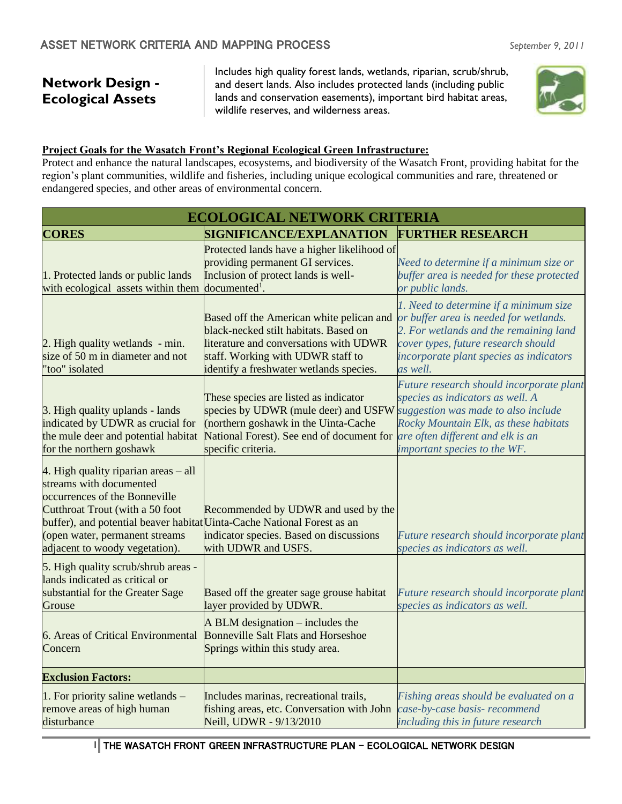# **Network Design - Ecological Assets**

Includes high quality forest lands, wetlands, riparian, scrub/shrub, and desert lands. Also includes protected lands (including public lands and conservation easements), important bird habitat areas, wildlife reserves, and wilderness areas.



#### **Project Goals for the Wasatch Front's Regional Ecological Green Infrastructure:**

Protect and enhance the natural landscapes, ecosystems, and biodiversity of the Wasatch Front, providing habitat for the region's plant communities, wildlife and fisheries, including unique ecological communities and rare, threatened or endangered species, and other areas of environmental concern.

|                                                                                                                                                                                                                                                                                    | <b>ECOLOGICAL NETWORK CRITERIA</b>                                                                                                                                                                                           |                                                                                                                                                                                                                          |
|------------------------------------------------------------------------------------------------------------------------------------------------------------------------------------------------------------------------------------------------------------------------------------|------------------------------------------------------------------------------------------------------------------------------------------------------------------------------------------------------------------------------|--------------------------------------------------------------------------------------------------------------------------------------------------------------------------------------------------------------------------|
| <b>CORES</b>                                                                                                                                                                                                                                                                       | SIGNIFICANCE/EXPLANATION                                                                                                                                                                                                     | <b>FURTHER RESEARCH</b>                                                                                                                                                                                                  |
| 1. Protected lands or public lands<br>with ecological assets within them documented <sup>1</sup> .                                                                                                                                                                                 | Protected lands have a higher likelihood of<br>providing permanent GI services.<br>Inclusion of protect lands is well-                                                                                                       | Need to determine if a minimum size or<br>buffer area is needed for these protected<br>or public lands.                                                                                                                  |
| 2. High quality wetlands - min.<br>size of 50 m in diameter and not<br>'too" isolated                                                                                                                                                                                              | Based off the American white pelican and<br>black-necked stilt habitats. Based on<br>literature and conversations with UDWR<br>staff. Working with UDWR staff to<br>identify a freshwater wetlands species.                  | 1. Need to determine if a minimum size<br>or buffer area is needed for wetlands.<br>2. For wetlands and the remaining land<br>cover types, future research should<br>incorporate plant species as indicators<br>as well. |
| 3. High quality uplands - lands<br>indicated by UDWR as crucial for<br>the mule deer and potential habitat<br>for the northern goshawk                                                                                                                                             | These species are listed as indicator<br>species by UDWR (mule deer) and USFW suggestion was made to also include<br>(northern goshawk in the Uinta-Cache<br>National Forest). See end of document for<br>specific criteria. | Future research should incorporate plant<br>species as indicators as well. A<br>Rocky Mountain Elk, as these habitats<br>are often different and elk is an<br>important species to the WF.                               |
| 4. High quality riparian areas – all<br>streams with documented<br>occurrences of the Bonneville<br>Cutthroat Trout (with a 50 foot<br>buffer), and potential beaver habitat Uinta-Cache National Forest as an<br>(open water, permanent streams<br>adjacent to woody vegetation). | Recommended by UDWR and used by the<br>indicator species. Based on discussions<br>with UDWR and USFS.                                                                                                                        | Future research should incorporate plant<br>species as indicators as well.                                                                                                                                               |
| 5. High quality scrub/shrub areas -<br>lands indicated as critical or<br>substantial for the Greater Sage<br>Grouse                                                                                                                                                                | Based off the greater sage grouse habitat<br>layer provided by UDWR.                                                                                                                                                         | Future research should incorporate plant<br>species as indicators as well.                                                                                                                                               |
| 6. Areas of Critical Environmental<br>Concern                                                                                                                                                                                                                                      | $A$ BLM designation – includes the<br><b>Bonneville Salt Flats and Horseshoe</b><br>Springs within this study area.                                                                                                          |                                                                                                                                                                                                                          |
| <b>Exclusion Factors:</b>                                                                                                                                                                                                                                                          |                                                                                                                                                                                                                              |                                                                                                                                                                                                                          |
| 1. For priority saline wetlands -<br>remove areas of high human<br>disturbance                                                                                                                                                                                                     | Includes marinas, recreational trails,<br>fishing areas, etc. Conversation with John<br>Neill, UDWR - 9/13/2010                                                                                                              | Fishing areas should be evaluated on a<br>case-by-case basis- recommend<br>including this in future research                                                                                                             |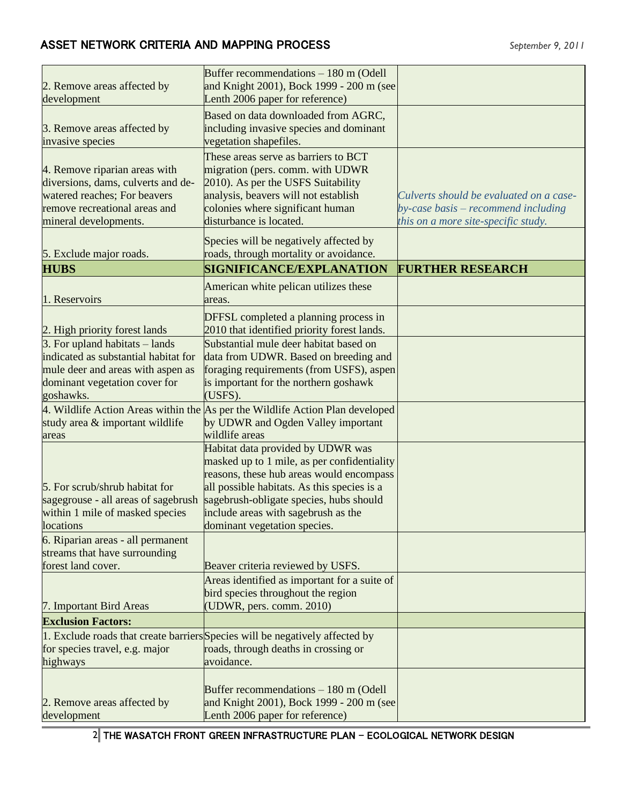| 2. Remove areas affected by<br>development                                                                                                                    | Buffer recommendations $-180$ m (Odell<br>and Knight 2001), Bock 1999 - 200 m (see<br>Lenth 2006 paper for reference)                                                                                                                                                                         |                                                                                                                       |
|---------------------------------------------------------------------------------------------------------------------------------------------------------------|-----------------------------------------------------------------------------------------------------------------------------------------------------------------------------------------------------------------------------------------------------------------------------------------------|-----------------------------------------------------------------------------------------------------------------------|
| 3. Remove areas affected by<br>invasive species                                                                                                               | Based on data downloaded from AGRC,<br>including invasive species and dominant<br>vegetation shapefiles.                                                                                                                                                                                      |                                                                                                                       |
| 4. Remove riparian areas with<br>diversions, dams, culverts and de-<br>watered reaches; For beavers<br>remove recreational areas and<br>mineral developments. | These areas serve as barriers to BCT<br>migration (pers. comm. with UDWR<br>2010). As per the USFS Suitability<br>analysis, beavers will not establish<br>colonies where significant human<br>disturbance is located.                                                                         | Culverts should be evaluated on a case-<br>by-case basis – recommend including<br>this on a more site-specific study. |
| 5. Exclude major roads.                                                                                                                                       | Species will be negatively affected by<br>roads, through mortality or avoidance.                                                                                                                                                                                                              |                                                                                                                       |
| <b>HUBS</b>                                                                                                                                                   | SIGNIFICANCE/EXPLANATION                                                                                                                                                                                                                                                                      | <b>FURTHER RESEARCH</b>                                                                                               |
| 1. Reservoirs                                                                                                                                                 | American white pelican utilizes these<br>areas.                                                                                                                                                                                                                                               |                                                                                                                       |
| 2. High priority forest lands                                                                                                                                 | DFFSL completed a planning process in<br>2010 that identified priority forest lands.                                                                                                                                                                                                          |                                                                                                                       |
| 3. For upland habitats – lands                                                                                                                                | Substantial mule deer habitat based on                                                                                                                                                                                                                                                        |                                                                                                                       |
| indicated as substantial habitat for<br>mule deer and areas with aspen as<br>dominant vegetation cover for<br>goshawks.                                       | data from UDWR. Based on breeding and<br>foraging requirements (from USFS), aspen<br>is important for the northern goshawk<br>(USFS).                                                                                                                                                         |                                                                                                                       |
| study area & important wildlife<br>areas                                                                                                                      | 4. Wildlife Action Areas within the As per the Wildlife Action Plan developed<br>by UDWR and Ogden Valley important<br>wildlife areas                                                                                                                                                         |                                                                                                                       |
| 5. For scrub/shrub habitat for<br>sagegrouse - all areas of sagebrush<br>within 1 mile of masked species<br>locations                                         | Habitat data provided by UDWR was<br>masked up to 1 mile, as per confidentiality<br>reasons, these hub areas would encompass<br>all possible habitats. As this species is a<br>sagebrush-obligate species, hubs should<br>include areas with sagebrush as the<br>dominant vegetation species. |                                                                                                                       |
| 6. Riparian areas - all permanent                                                                                                                             |                                                                                                                                                                                                                                                                                               |                                                                                                                       |
| streams that have surrounding<br>forest land cover.                                                                                                           | Beaver criteria reviewed by USFS.                                                                                                                                                                                                                                                             |                                                                                                                       |
| 7. Important Bird Areas                                                                                                                                       | Areas identified as important for a suite of<br>bird species throughout the region<br>(UDWR, pers. comm. 2010)                                                                                                                                                                                |                                                                                                                       |
| <b>Exclusion Factors:</b>                                                                                                                                     |                                                                                                                                                                                                                                                                                               |                                                                                                                       |
| for species travel, e.g. major<br>highways                                                                                                                    | 1. Exclude roads that create barriers Species will be negatively affected by<br>roads, through deaths in crossing or<br>avoidance.                                                                                                                                                            |                                                                                                                       |
| 2. Remove areas affected by<br>development                                                                                                                    | Buffer recommendations - 180 m (Odell<br>and Knight 2001), Bock 1999 - 200 m (see<br>Lenth 2006 paper for reference)                                                                                                                                                                          |                                                                                                                       |

2 THE WASATCH FRONT GREEN INFRASTRUCTURE PLAN - ECOLOGICAL NETWORK DESIGN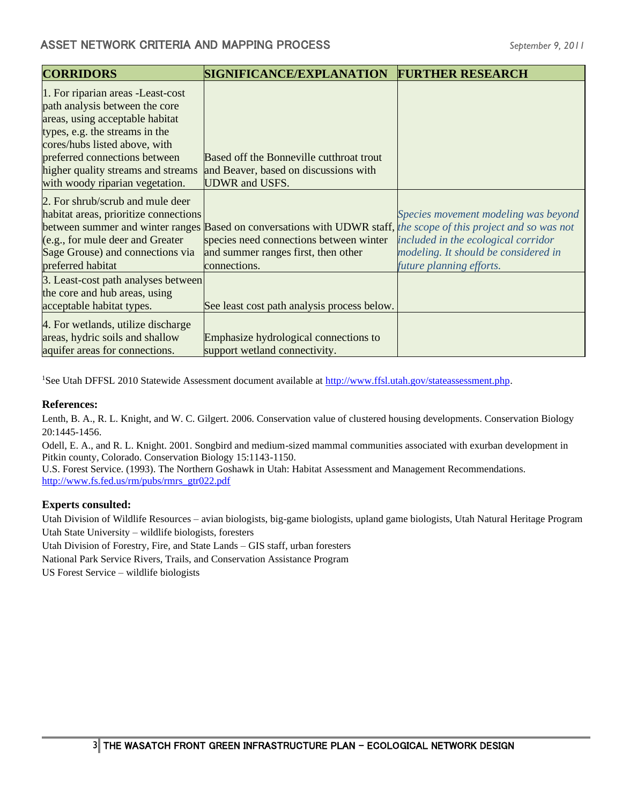| <b>CORRIDORS</b>                      | <b>SIGNIFICANCE/EXPLANATION</b>                                                                                   | <b>FURTHER RESEARCH</b>              |
|---------------------------------------|-------------------------------------------------------------------------------------------------------------------|--------------------------------------|
| 1. For riparian areas - Least-cost    |                                                                                                                   |                                      |
| path analysis between the core        |                                                                                                                   |                                      |
| areas, using acceptable habitat       |                                                                                                                   |                                      |
| types, e.g. the streams in the        |                                                                                                                   |                                      |
| cores/hubs listed above, with         |                                                                                                                   |                                      |
| preferred connections between         | Based off the Bonneville cutthroat trout                                                                          |                                      |
| higher quality streams and streams    | and Beaver, based on discussions with                                                                             |                                      |
| with woody riparian vegetation.       | <b>UDWR</b> and USFS.                                                                                             |                                      |
| 2. For shrub/scrub and mule deer      |                                                                                                                   |                                      |
| habitat areas, prioritize connections |                                                                                                                   | Species movement modeling was beyond |
|                                       | between summer and winter ranges Based on conversations with UDWR staff, the scope of this project and so was not |                                      |
| (e.g., for mule deer and Greater      | species need connections between winter                                                                           | included in the ecological corridor  |
| Sage Grouse) and connections via      | and summer ranges first, then other                                                                               | modeling. It should be considered in |
| preferred habitat                     | connections.                                                                                                      | future planning efforts.             |
| 3. Least-cost path analyses between   |                                                                                                                   |                                      |
| the core and hub areas, using         |                                                                                                                   |                                      |
| acceptable habitat types.             | See least cost path analysis process below.                                                                       |                                      |
| 4. For wetlands, utilize discharge    |                                                                                                                   |                                      |
| areas, hydric soils and shallow       | Emphasize hydrological connections to                                                                             |                                      |
| aquifer areas for connections.        | support wetland connectivity.                                                                                     |                                      |

<sup>1</sup>See Utah DFFSL 2010 Statewide Assessment document available at [http://www.ffsl.utah.gov/stateassessment.php.](http://www.ffsl.utah.gov/stateassessment.php)

#### **References:**

Lenth, B. A., R. L. Knight, and W. C. Gilgert. 2006. Conservation value of clustered housing developments. Conservation Biology 20:1445-1456.

Odell, E. A., and R. L. Knight. 2001. Songbird and medium-sized mammal communities associated with exurban development in Pitkin county, Colorado. Conservation Biology 15:1143-1150.

U.S. Forest Service. (1993). The Northern Goshawk in Utah: Habitat Assessment and Management Recommendations. [http://www.fs.fed.us/rm/pubs/rmrs\\_gtr022.pdf](http://www.fs.fed.us/rm/pubs/rmrs_gtr022.pdf)

#### **Experts consulted:**

Utah Division of Wildlife Resources – avian biologists, big-game biologists, upland game biologists, Utah Natural Heritage Program Utah State University – wildlife biologists, foresters

Utah Division of Forestry, Fire, and State Lands – GIS staff, urban foresters

National Park Service Rivers, Trails, and Conservation Assistance Program

US Forest Service – wildlife biologists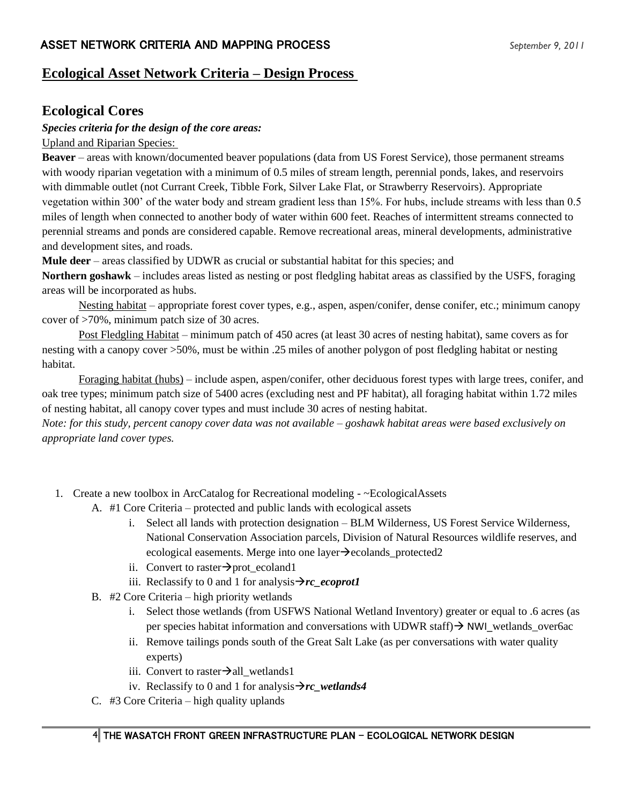## **Ecological Asset Network Criteria – Design Process**

## **Ecological Cores**

#### *Species criteria for the design of the core areas:*

Upland and Riparian Species:

**Beaver** – areas with known/documented beaver populations (data from US Forest Service), those permanent streams with woody riparian vegetation with a minimum of 0.5 miles of stream length, perennial ponds, lakes, and reservoirs with dimmable outlet (not Currant Creek, Tibble Fork, Silver Lake Flat, or Strawberry Reservoirs). Appropriate vegetation within 300' of the water body and stream gradient less than 15%. For hubs, include streams with less than 0.5 miles of length when connected to another body of water within 600 feet. Reaches of intermittent streams connected to perennial streams and ponds are considered capable. Remove recreational areas, mineral developments, administrative and development sites, and roads.

**Mule deer** – areas classified by UDWR as crucial or substantial habitat for this species; and

**Northern goshawk** – includes areas listed as nesting or post fledgling habitat areas as classified by the USFS, foraging areas will be incorporated as hubs.

Nesting habitat – appropriate forest cover types, e.g., aspen, aspen/conifer, dense conifer, etc.; minimum canopy cover of >70%, minimum patch size of 30 acres.

Post Fledgling Habitat – minimum patch of 450 acres (at least 30 acres of nesting habitat), same covers as for nesting with a canopy cover >50%, must be within .25 miles of another polygon of post fledgling habitat or nesting habitat.

Foraging habitat (hubs) – include aspen, aspen/conifer, other deciduous forest types with large trees, conifer, and oak tree types; minimum patch size of 5400 acres (excluding nest and PF habitat), all foraging habitat within 1.72 miles of nesting habitat, all canopy cover types and must include 30 acres of nesting habitat.

*Note: for this study, percent canopy cover data was not available – goshawk habitat areas were based exclusively on appropriate land cover types.* 

- 1. Create a new toolbox in ArcCatalog for Recreational modeling ~EcologicalAssets
	- A. #1 Core Criteria protected and public lands with ecological assets
		- i. Select all lands with protection designation BLM Wilderness, US Forest Service Wilderness, National Conservation Association parcels, Division of Natural Resources wildlife reserves, and ecological easements. Merge into one layer→ecolands\_protected2
		- ii. Convert to raster $\rightarrow$ prot\_ecoland1
		- iii. Reclassify to 0 and 1 for analysis $\rightarrow$ *rc* ecoprot1
	- B. #2 Core Criteria high priority wetlands
		- i. Select those wetlands (from USFWS National Wetland Inventory) greater or equal to .6 acres (as per species habitat information and conversations with UDWR staff) → NWI\_wetlands\_over6ac
		- ii. Remove tailings ponds south of the Great Salt Lake (as per conversations with water quality experts)
		- iii. Convert to raster $\rightarrow$ all\_wetlands1
		- iv. Reclassify to 0 and 1 for analysis→*rc\_wetlands4*
	- C. #3 Core Criteria high quality uplands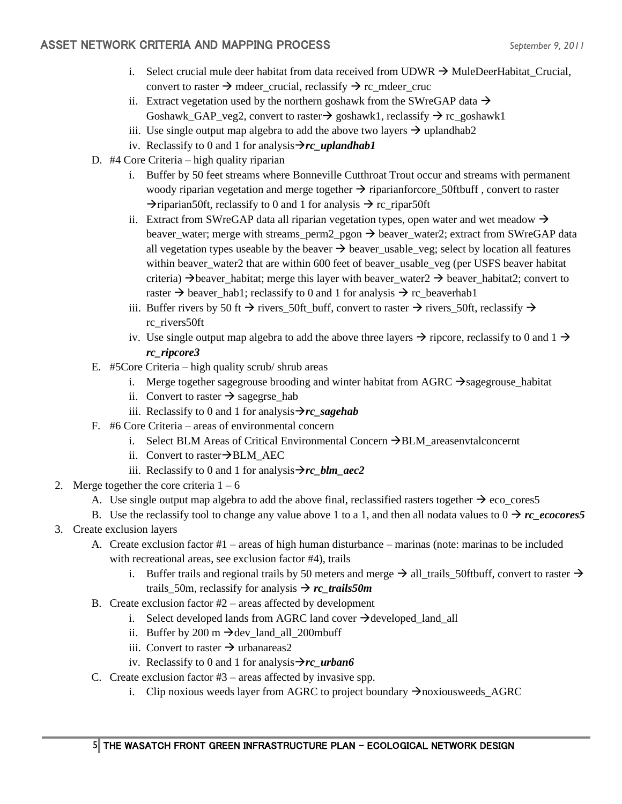- i. Select crucial mule deer habitat from data received from UDWR  $\rightarrow$  MuleDeerHabitat\_Crucial, convert to raster  $\rightarrow$  mdeer crucial, reclassify  $\rightarrow$  rc mdeer cruc
- ii. Extract vegetation used by the northern goshawk from the SWreGAP data  $\rightarrow$ Goshawk\_GAP\_veg2, convert to raster $\rightarrow$  goshawk1, reclassify  $\rightarrow$  rc\_goshawk1
- iii. Use single output map algebra to add the above two layers  $\rightarrow$  uplandhab2
- iv. Reclassify to 0 and 1 for analysis→*rc\_uplandhab1*
- D. #4 Core Criteria high quality riparian
	- i. Buffer by 50 feet streams where Bonneville Cutthroat Trout occur and streams with permanent woody riparian vegetation and merge together  $\rightarrow$  riparianforcore\_50ftbuff, convert to raster  $\rightarrow$ riparian50ft, reclassify to 0 and 1 for analysis  $\rightarrow$  rc\_ripar50ft
	- ii. Extract from SWreGAP data all riparian vegetation types, open water and wet meadow  $\rightarrow$ beaver\_water; merge with streams\_perm2\_pgon  $\rightarrow$  beaver\_water2; extract from SWreGAP data all vegetation types useable by the beaver  $\rightarrow$  beaver\_usable\_veg; select by location all features within beaver water2 that are within 600 feet of beaver usable veg (per USFS beaver habitat criteria)  $\rightarrow$  beaver\_habitat; merge this layer with beaver\_water2  $\rightarrow$  beaver\_habitat2; convert to raster  $\rightarrow$  beaver\_hab1; reclassify to 0 and 1 for analysis  $\rightarrow$  rc\_beaverhab1
	- iii. Buffer rivers by 50 ft  $\rightarrow$  rivers 50ft buff, convert to raster  $\rightarrow$  rivers 50ft, reclassify  $\rightarrow$ rc\_rivers50ft
	- iv. Use single output map algebra to add the above three layers  $\rightarrow$  ripcore, reclassify to 0 and 1  $\rightarrow$ *rc\_ripcore3*
- E. #5Core Criteria high quality scrub/ shrub areas
	- i. Merge together sagegrouse brooding and winter habitat from AGRC  $\rightarrow$  sagegrouse habitat
	- ii. Convert to raster  $\rightarrow$  sagegrse\_hab
	- iii. Reclassify to 0 and 1 for analysis $\rightarrow$ *rc* sagehab
- F. #6 Core Criteria areas of environmental concern
	- i. Select BLM Areas of Critical Environmental Concern →BLM\_areasenvtalconcernt
	- ii. Convert to raster→BLM\_AEC
	- iii. Reclassify to 0 and 1 for analysis $\rightarrow$ *rc\_blm\_aec2*
- 2. Merge together the core criteria  $1 6$ 
	- A. Use single output map algebra to add the above final, reclassified rasters together  $\rightarrow$  eco\_cores5
	- B. Use the reclassify tool to change any value above 1 to a 1, and then all nodata values to  $0 \rightarrow rc$  *ecocores5*
- 3. Create exclusion layers
	- A. Create exclusion factor #1 areas of high human disturbance marinas (note: marinas to be included with recreational areas, see exclusion factor #4), trails
		- i. Buffer trails and regional trails by 50 meters and merge  $\rightarrow$  all\_trails\_50ftbuff, convert to raster  $\rightarrow$ trails 50m, reclassify for analysis  $\rightarrow$  *rc* trails50*m*
	- B. Create exclusion factor  $#2$  areas affected by development
		- i. Select developed lands from AGRC land cover  $\rightarrow$  developed land all
		- ii. Buffer by 200 m  $\rightarrow$  dev land all 200mbuff
		- iii. Convert to raster  $\rightarrow$  urbanareas2
		- iv. Reclassify to 0 and 1 for analysis→*rc\_urban6*
	- C. Create exclusion factor  $#3$  areas affected by invasive spp.
		- i. Clip noxious weeds layer from AGRC to project boundary  $\rightarrow$ noxiousweeds\_AGRC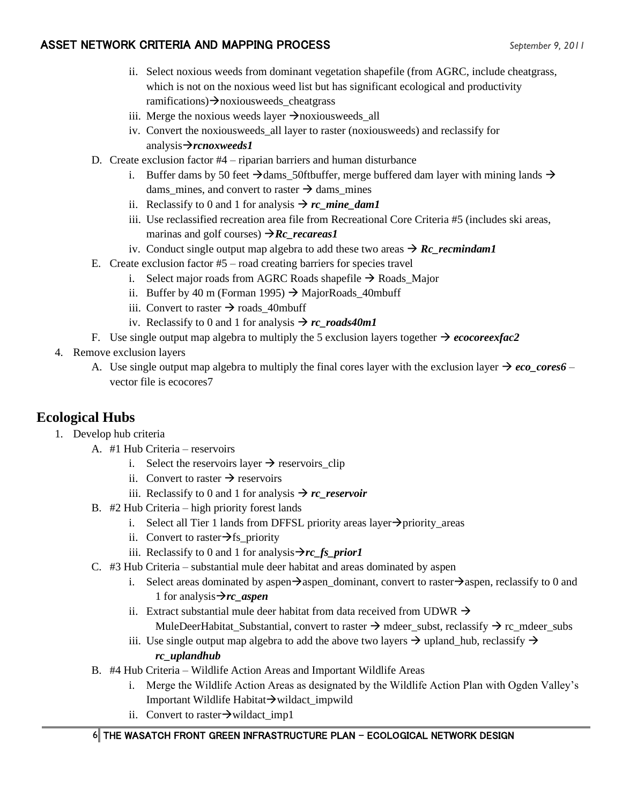- ii. Select noxious weeds from dominant vegetation shapefile (from AGRC, include cheatgrass, which is not on the noxious weed list but has significant ecological and productivity ramifications)→noxiousweeds\_cheatgrass
- iii. Merge the noxious weeds layer  $\rightarrow$ noxiousweeds\_all
- iv. Convert the noxiousweeds\_all layer to raster (noxiousweeds) and reclassify for analysis→*rcnoxweeds1*
- D. Create exclusion factor #4 riparian barriers and human disturbance
	- i. Buffer dams by 50 feet  $\rightarrow$  dams\_50ftbuffer, merge buffered dam layer with mining lands  $\rightarrow$ dams mines, and convert to raster  $\rightarrow$  dams mines
	- ii. Reclassify to 0 and 1 for analysis  $\rightarrow$  *rc* mine dam1
	- iii. Use reclassified recreation area file from Recreational Core Criteria #5 (includes ski areas, marinas and golf courses) →*Rc\_recareas1*
	- iv. Conduct single output map algebra to add these two areas  $\rightarrow$  *Rc\_recmindam1*
- E. Create exclusion factor #5 road creating barriers for species travel
	- i. Select major roads from AGRC Roads shapefile  $\rightarrow$  Roads\_Major
	- ii. Buffer by 40 m (Forman 1995)  $\rightarrow$  MajorRoads 40mbuff
	- iii. Convert to raster  $\rightarrow$  roads 40mbuff
	- iv. Reclassify to 0 and 1 for analysis  $\rightarrow$  *rc\_roads40m1*
- F. Use single output map algebra to multiply the 5 exclusion layers together  $\rightarrow$  *ecocoreexfac2*
- 4. Remove exclusion layers
	- A. Use single output map algebra to multiply the final cores layer with the exclusion layer  $\rightarrow e_{co\_cores6}$  vector file is ecocores7

# **Ecological Hubs**

- 1. Develop hub criteria
	- A. #1 Hub Criteria reservoirs
		- i. Select the reservoirs layer  $\rightarrow$  reservoirs clip
		- ii. Convert to raster  $\rightarrow$  reservoirs
		- iii. Reclassify to 0 and 1 for analysis  $\rightarrow$  *rc\_reservoir*
	- B. #2 Hub Criteria high priority forest lands
		- i. Select all Tier 1 lands from DFFSL priority areas layer $\rightarrow$ priority areas
		- ii. Convert to raster $\rightarrow$ fs priority
		- iii. Reclassify to 0 and 1 for analysis $\rightarrow$ *rc\_fs\_prior1*
	- C. #3 Hub Criteria substantial mule deer habitat and areas dominated by aspen
		- i. Select areas dominated by aspen $\rightarrow$ aspen\_dominant, convert to raster $\rightarrow$ aspen, reclassify to 0 and 1 for analysis→*rc\_aspen*
		- ii. Extract substantial mule deer habitat from data received from UDWR  $\rightarrow$ MuleDeerHabitat Substantial, convert to raster  $\rightarrow$  mdeer subst, reclassify  $\rightarrow$  rc mdeer subs
		- iii. Use single output map algebra to add the above two layers  $\rightarrow$  upland\_hub, reclassify  $\rightarrow$ *rc\_uplandhub*
	- B. #4 Hub Criteria Wildlife Action Areas and Important Wildlife Areas
		- i. Merge the Wildlife Action Areas as designated by the Wildlife Action Plan with Ogden Valley's Important Wildlife Habitat→wildact\_impwild
		- ii. Convert to raster→wildact\_imp1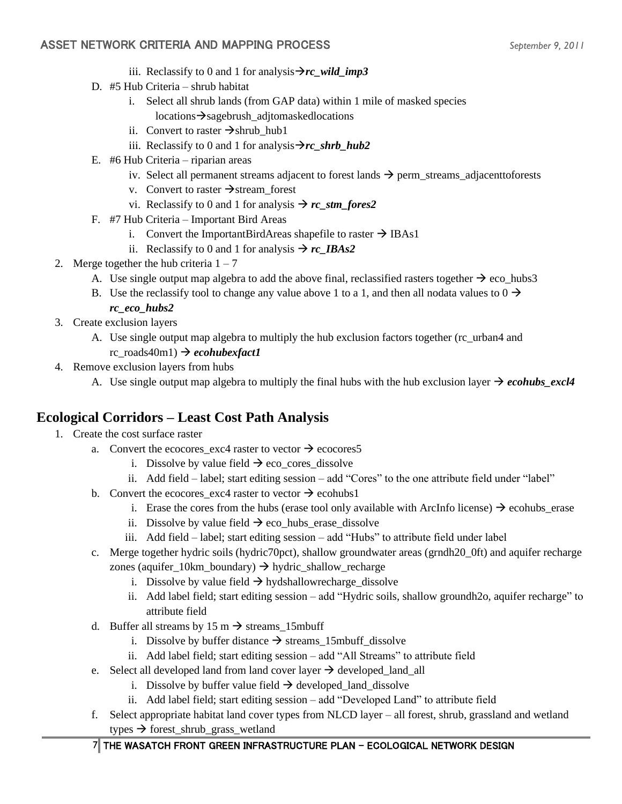- iii. Reclassify to 0 and 1 for analysis $\rightarrow$ *rc\_wild\_imp3*
- D. #5 Hub Criteria shrub habitat
	- i. Select all shrub lands (from GAP data) within 1 mile of masked species locations→sagebrush\_adjtomaskedlocations
	- ii. Convert to raster  $\rightarrow$ shrub\_hub1
	- iii. Reclassify to 0 and 1 for analysis $\rightarrow$ *rc\_shrb\_hub2*
- E. #6 Hub Criteria riparian areas
	- iv. Select all permanent streams adjacent to forest lands  $\rightarrow$  perm\_streams\_adjacenttoforests
	- v. Convert to raster  $\rightarrow$  stream forest
	- vi. Reclassify to 0 and 1 for analysis  $\rightarrow$  *rc* stm fores2
- F. #7 Hub Criteria Important Bird Areas
	- i. Convert the ImportantBirdAreas shapefile to raster  $\rightarrow$  IBAs1
	- ii. Reclassify to 0 and 1 for analysis  $\rightarrow$  *rc\_IBAs2*
- 2. Merge together the hub criteria  $1 7$ 
	- A. Use single output map algebra to add the above final, reclassified rasters together  $\rightarrow$  eco\_hubs3
	- B. Use the reclassify tool to change any value above 1 to a 1, and then all nodata values to  $0 \rightarrow$

#### *rc\_eco\_hubs2*

- 3. Create exclusion layers
	- A. Use single output map algebra to multiply the hub exclusion factors together (rc\_urban4 and rc\_roads40m1) → *ecohubexfact1*
- 4. Remove exclusion layers from hubs
	- A. Use single output map algebra to multiply the final hubs with the hub exclusion layer  $\rightarrow$  *ecohubs\_excl4*

# **Ecological Corridors – Least Cost Path Analysis**

- 1. Create the cost surface raster
	- a. Convert the ecocores exc4 raster to vector  $\rightarrow$  ecocores5
		- i. Dissolve by value field  $\rightarrow$  eco\_cores\_dissolve
		- ii. Add field label; start editing session add "Cores" to the one attribute field under "label"
	- b. Convert the ecocores exc4 raster to vector  $\rightarrow$  ecohubs1
		- i. Erase the cores from the hubs (erase tool only available with ArcInfo license)  $\rightarrow$  ecohubs\_erase
		- ii. Dissolve by value field  $\rightarrow$  eco\_hubs\_erase\_dissolve
		- iii. Add field label; start editing session add "Hubs" to attribute field under label
	- c. Merge together hydric soils (hydric70pct), shallow groundwater areas (grndh20\_0ft) and aquifer recharge
		- zones (aquifer\_10km\_boundary)  $\rightarrow$  hydric\_shallow\_recharge
			- i. Dissolve by value field  $\rightarrow$  hydshallowrecharge dissolve
			- ii. Add label field; start editing session add "Hydric soils, shallow groundh2o, aquifer recharge" to attribute field
	- d. Buffer all streams by 15 m  $\rightarrow$  streams 15mbuff
		- i. Dissolve by buffer distance  $\rightarrow$  streams\_15mbuff\_dissolve
		- ii. Add label field; start editing session add "All Streams" to attribute field
	- e. Select all developed land from land cover layer  $\rightarrow$  developed\_land\_all
		- i. Dissolve by buffer value field  $\rightarrow$  developed\_land\_dissolve
		- ii. Add label field; start editing session add "Developed Land" to attribute field
	- f. Select appropriate habitat land cover types from NLCD layer all forest, shrub, grassland and wetland types → forest\_shrub\_grass\_wetland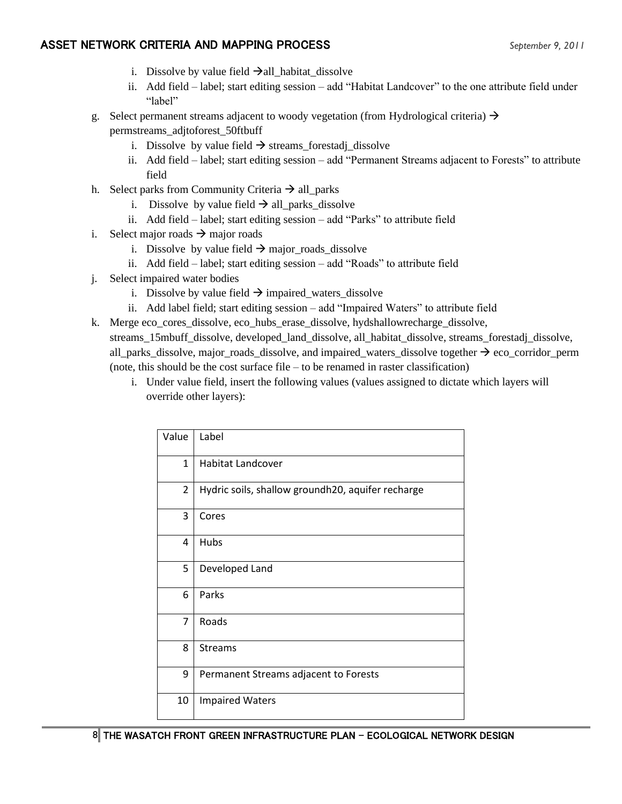- i. Dissolve by value field  $\rightarrow$ all\_habitat\_dissolve
- ii. Add field label; start editing session add "Habitat Landcover" to the one attribute field under "label"
- g. Select permanent streams adjacent to woody vegetation (from Hydrological criteria)  $\rightarrow$ 
	- permstreams\_adjtoforest\_50ftbuff
		- i. Dissolve by value field  $\rightarrow$  streams\_forestadj\_dissolve
		- ii. Add field label; start editing session add "Permanent Streams adjacent to Forests" to attribute field
- h. Select parks from Community Criteria  $\rightarrow$  all\_parks
	- i. Dissolve by value field  $\rightarrow$  all\_parks\_dissolve
	- ii. Add field label; start editing session add "Parks" to attribute field
- i. Select major roads  $\rightarrow$  major roads
	- i. Dissolve by value field  $\rightarrow$  major\_roads\_dissolve
	- ii. Add field label; start editing session add "Roads" to attribute field
- j. Select impaired water bodies
	- i. Dissolve by value field  $\rightarrow$  impaired\_waters\_dissolve
	- ii. Add label field; start editing session add "Impaired Waters" to attribute field
- k. Merge eco\_cores\_dissolve, eco\_hubs\_erase\_dissolve, hydshallowrecharge\_dissolve, streams\_15mbuff\_dissolve, developed\_land\_dissolve, all\_habitat\_dissolve, streams\_forestadj\_dissolve, all\_parks\_dissolve, major\_roads\_dissolve, and impaired\_waters\_dissolve together  $\rightarrow$  eco\_corridor\_perm (note, this should be the cost surface file – to be renamed in raster classification)
	- i. Under value field, insert the following values (values assigned to dictate which layers will override other layers):

| Value          | Label                                             |
|----------------|---------------------------------------------------|
| $\mathbf{1}$   | <b>Habitat Landcover</b>                          |
| $\overline{2}$ | Hydric soils, shallow groundh20, aquifer recharge |
| 3              | Cores                                             |
| 4              | Hubs                                              |
| 5              | Developed Land                                    |
| 6              | Parks                                             |
| 7              | Roads                                             |
| 8              | <b>Streams</b>                                    |
| 9              | Permanent Streams adjacent to Forests             |
| 10             | <b>Impaired Waters</b>                            |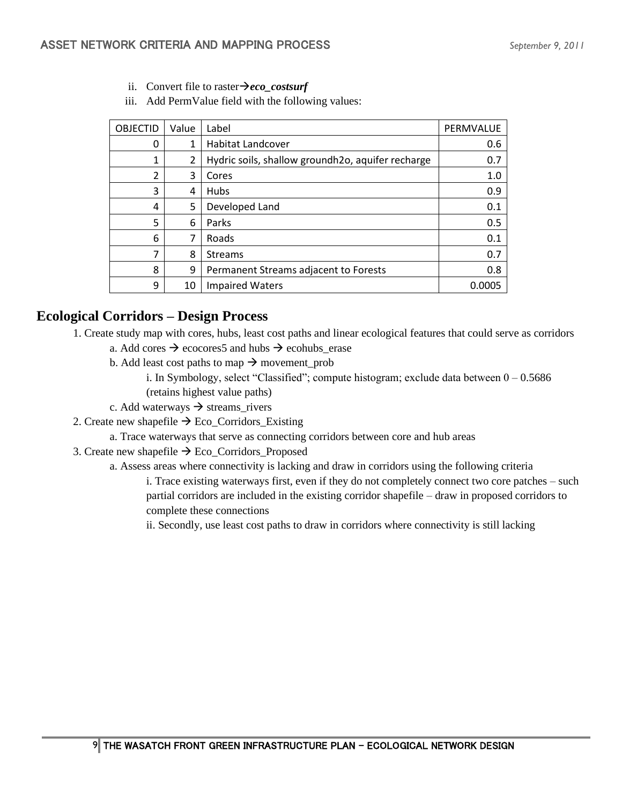- ii. Convert file to raster→*eco\_costsurf*
- iii. Add PermValue field with the following values:

| <b>OBJECTID</b> | Value          | Label                                             | PERMVALUE |
|-----------------|----------------|---------------------------------------------------|-----------|
| 0               | 1              | <b>Habitat Landcover</b>                          | 0.6       |
| 1               | $\overline{2}$ | Hydric soils, shallow groundh2o, aquifer recharge | 0.7       |
| $\mathfrak{p}$  | 3              | Cores                                             | 1.0       |
| 3               | 4              | <b>Hubs</b>                                       | 0.9       |
| 4               | 5              | Developed Land                                    | 0.1       |
| 5               | 6              | Parks                                             | 0.5       |
| 6               | 7              | Roads                                             | 0.1       |
| 7               | 8              | <b>Streams</b>                                    | 0.7       |
| 8               | 9              | Permanent Streams adjacent to Forests             | 0.8       |
| 9               | 10             | <b>Impaired Waters</b>                            | 0.0005    |

# **Ecological Corridors – Design Process**

- 1. Create study map with cores, hubs, least cost paths and linear ecological features that could serve as corridors a. Add cores  $\rightarrow$  ecocores5 and hubs  $\rightarrow$  ecohubs erase
	- b. Add least cost paths to map  $\rightarrow$  movement\_prob
		- i. In Symbology, select "Classified"; compute histogram; exclude data between  $0 0.5686$ (retains highest value paths)
	- c. Add waterways  $\rightarrow$  streams\_rivers
- 2. Create new shapefile  $\rightarrow$  Eco\_Corridors\_Existing
	- a. Trace waterways that serve as connecting corridors between core and hub areas
- 3. Create new shapefile  $\rightarrow$  Eco\_Corridors\_Proposed
	- a. Assess areas where connectivity is lacking and draw in corridors using the following criteria

i. Trace existing waterways first, even if they do not completely connect two core patches – such partial corridors are included in the existing corridor shapefile – draw in proposed corridors to complete these connections

ii. Secondly, use least cost paths to draw in corridors where connectivity is still lacking